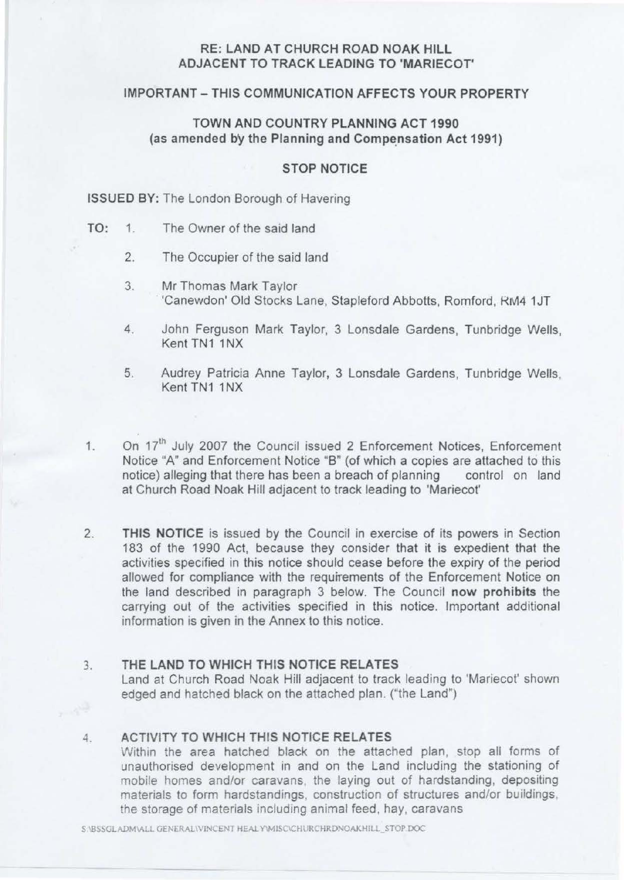# **RE: LAND AT CHURCH ROAD NOAK HILL ADJACENT TO TRACK LEADING TO 'MARIECOT'**

## **IMPORTANT - THIS COMMUNICATION AFFECTS YOUR PROPERTY**

# **TOWN AND COUNTRY PLANNING ACT 1990**  (as amended by the Planning and Compensation Act 1991)

### **STOP NOTICE**

#### **ISSUED BY:** The London Borough of Havering

- TO: 1. The Owner of the said land
	- 2. The Occupier of the said land
	- 3. Mr Thomas Mark Taylor 'Canewdon' Old Stocks Lane, Stapleford Abbotts, Romford, RM4 1JT
	- 4. John Ferguson Mark Taylor, 3 Lonsdale Gardens, Tunbridge Wells, Kent TN1 1NX
	- 5. Audrey Patricia Anne Taylor, 3 Lonsdale Gardens, Tunbridge Wells, Kent TN1 1NX
- 1. On 17<sup>th</sup> July 2007 the Council issued 2 Enforcement Notices, Enforcement Notice "A" and Enforcement Notice "B" (of which a copies are attached to this notice) alleging that there has been a breach of planning control on land at Church Road Noak Hill adjacent to track leading to 'Mariecot'
- 2. **THIS NOTICE** is issued by the Council in exercise of its powers in Section 183 of the 1990 Act, because they consider that it is expedient that the activities specified in this notice should cease before the expiry of the period allowed for compliance with the requirements of the Enforcement Notice on the land described in paragraph 3 below. The Council **now prohibits** the carrying out of the activities specified in this notice. Important additional information is given in the Annex to this notice.

## 3. **THE LAND TO WHICH THIS NOTICE RELATES**

Land at Church Road Noak Hill adjacent to track leading to 'Mariecot' shown edged and hatched black on the attached plan. ("the Land")

# 4. **ACTIVITY TO WHICH THIS NOTICE RELATES**

Within the area hatched black on the attached plan, stop all forms of unauthorised development in and on the Land including the stationing of mobile homes and/or caravans, the laying out of hardstanding, depositing materials to form hardstandings, construction of structures and/or buildings, the storage of materials including animal feed, hay, caravans

S \BSSGLADM\ALL GENERAL\VINCENT HEAL Y\MISC\CHURCHRDNOAKHILL\_STOP DOC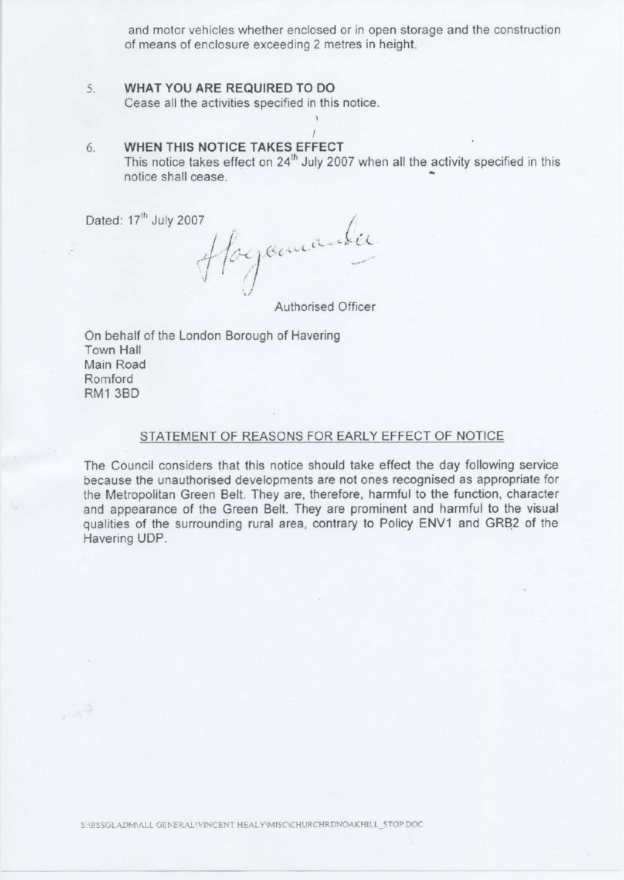and motor vehicles whether enclosed or in open storage and the construction of means of enclosure exceeding 2 metres in height.

### 5. **WHAT YOU ARE REQUIRED TO DO**  Cease all the activities specified in this notice.

# 6. **WHEN THIS NOTICE TAKES EFFECT**

This notice takes effect on  $24<sup>th</sup>$  July 2007 when all the activity specified in this notice shall cease. -

I

Dated: 17<sup>th</sup> July 2007

Hoyamarker Authorised Officer

On behalf of the London Borough of Havering Town Hall Main Road Romford RM13BD

#### STATEMENT OF REASONS FOR EARLY EFFECT OF NOTICE

The Council considers that this notice should take effect the day following service because the unauthorised developments are not ones recognised as appropriate for the Metropolitan Green Belt. They are, therefore, harmful to the function, character and appearance of the Green Belt. They are prominent and harmful to the visual qualities of the surrounding rural area, contrary to Policy ENV1 and GRB2 of the Havering UDP.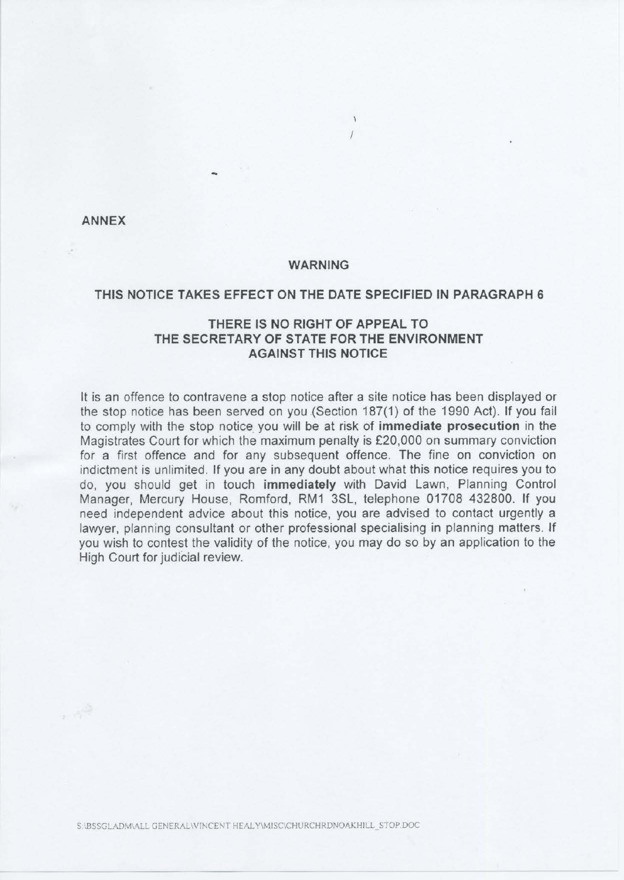**ANNEX** 

 $+3^{58}$ 

#### **WARNING**

# **THIS NOTICE TAKES EFFECT ON THE DATE SPECIFIED IN PARAGRAPH 6**

# **THERE IS NO RIGHT OF APPEAL TO THE SECRETARY OF STATE FOR THE ENVIRONMENT AGAINST THIS NOTICE**

It is an offence to contravene a stop notice after a site notice has been displayed or the stop notice has been served on you (Section 187(1) of the 1990 Act). If you fail to comply with the stop notice. you will be at risk of **immediate prosecution** in the Magistrates Court for which the maximum penalty is £20,000 on summary conviction for a first offence and for any subsequent offence. The fine on conviction on indictment is unlimited. If you are in any doubt about what this notice requires you to do, you should get in touch **immediately** with David Lawn, Planning Control Manager, Mercury House, Romford, RM1 3SL, telephone 01708 432800. If you need independent advice about this notice, you are advised to contact urgently a lawyer, planning consultant or other professional specialising in planning matters. Jf you wish to contest the validity of the notice, you may do so by an application to the High Court for judicial review.

S '.BSSGLADMVALL GENERAL\VINCENT HEALY\MISC\CHURCHRDNOAKHILL\_STOP.DOC